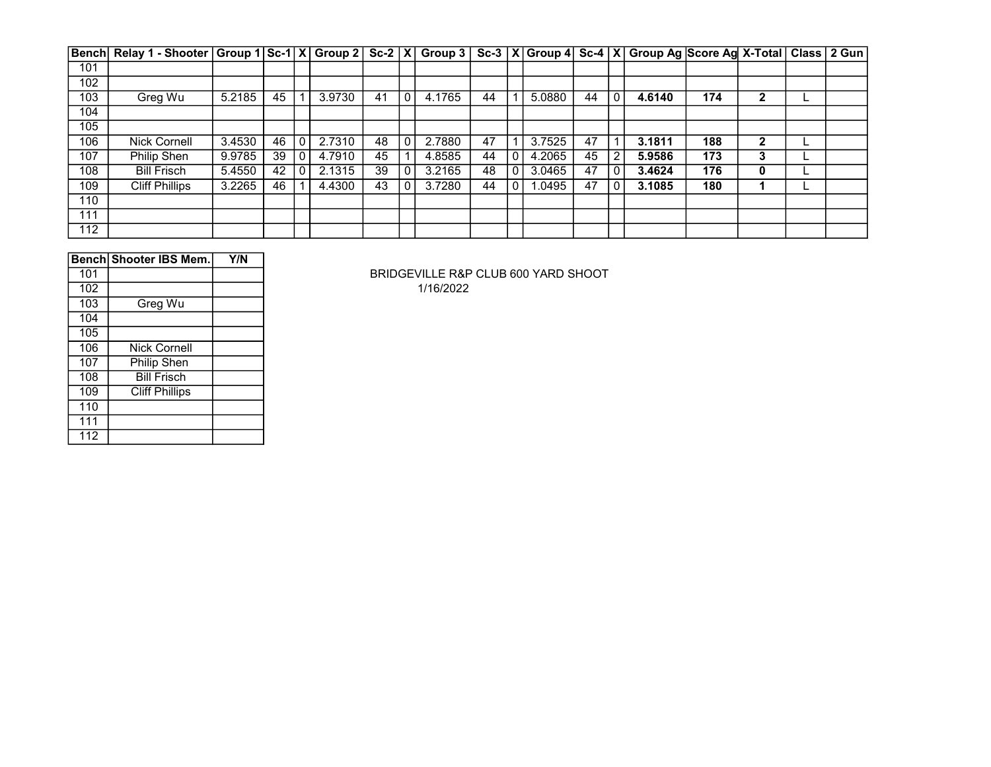|     | Bench  Relay 1 - Shooter   Group 1   Sc-1   X   Group 2   Sc-2   X   Group 3   Sc-3   X   Group 4   Sc-4   X   Group Ag  Score Ag  X-Total   Class   2 Gun |        |    |        |    |        |    |   |        |    |              |        |     |              |  |
|-----|------------------------------------------------------------------------------------------------------------------------------------------------------------|--------|----|--------|----|--------|----|---|--------|----|--------------|--------|-----|--------------|--|
| 101 |                                                                                                                                                            |        |    |        |    |        |    |   |        |    |              |        |     |              |  |
| 102 |                                                                                                                                                            |        |    |        |    |        |    |   |        |    |              |        |     |              |  |
| 103 | Greg Wu                                                                                                                                                    | 5.2185 | 45 | 3.9730 | 41 | 4.1765 | 44 |   | 5.0880 | 44 | $\mathbf{0}$ | 4.6140 | 174 | າ            |  |
| 104 |                                                                                                                                                            |        |    |        |    |        |    |   |        |    |              |        |     |              |  |
| 105 |                                                                                                                                                            |        |    |        |    |        |    |   |        |    |              |        |     |              |  |
| 106 | <b>Nick Cornell</b>                                                                                                                                        | 3.4530 | 46 | 2.7310 | 48 | 2.7880 | 47 |   | 3.7525 | 47 | 1            | 3.1811 | 188 | $\mathbf{2}$ |  |
| 107 | <b>Philip Shen</b>                                                                                                                                         | 9.9785 | 39 | 4.7910 | 45 | 4.8585 | 44 | 0 | 4.2065 | 45 | 2            | 5.9586 | 173 | 3            |  |
| 108 | <b>Bill Frisch</b>                                                                                                                                         | 5.4550 | 42 | 2.1315 | 39 | 3.2165 | 48 |   | 3.0465 | 47 | 0            | 3.4624 | 176 | 0            |  |
| 109 | <b>Cliff Phillips</b>                                                                                                                                      | 3.2265 | 46 | 4.4300 | 43 | 3.7280 | 44 |   | 1.0495 | 47 | $\mathbf{0}$ | 3.1085 | 180 |              |  |
| 110 |                                                                                                                                                            |        |    |        |    |        |    |   |        |    |              |        |     |              |  |
| 111 |                                                                                                                                                            |        |    |        |    |        |    |   |        |    |              |        |     |              |  |
| 112 |                                                                                                                                                            |        |    |        |    |        |    |   |        |    |              |        |     |              |  |

|     | Bench Shooter IBS Mem. | Y/N |
|-----|------------------------|-----|
| 101 |                        |     |
| 102 |                        |     |
| 103 | Greg Wu                |     |
| 104 |                        |     |
| 105 |                        |     |
| 106 | <b>Nick Cornell</b>    |     |
| 107 | Philip Shen            |     |
| 108 | <b>Bill Frisch</b>     |     |
| 109 | <b>Cliff Phillips</b>  |     |
| 110 |                        |     |
| 111 |                        |     |
| 112 |                        |     |

BRIDGEVILLE R&P CLUB 600 YARD SHOOT 1/16/2022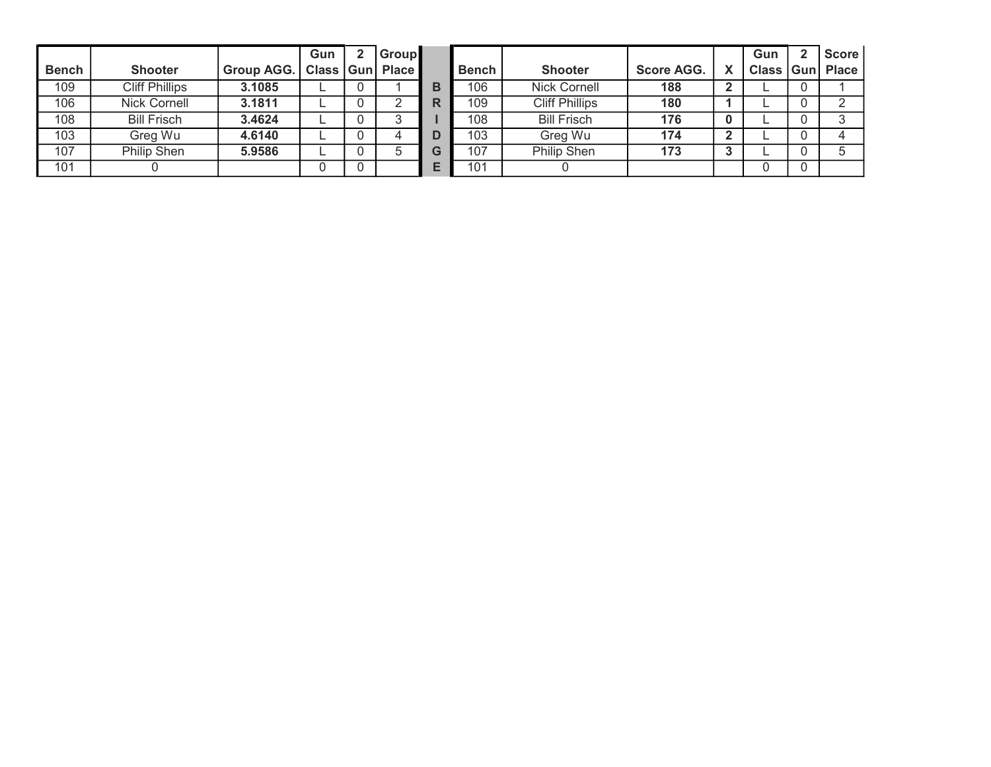|              |                       |                          | Gun | <b>Group</b> |   |              |                       |                   | Gun | <b>Score</b>        |
|--------------|-----------------------|--------------------------|-----|--------------|---|--------------|-----------------------|-------------------|-----|---------------------|
| <b>Bench</b> | <b>Shooter</b>        | Group AGG.   Class   Gun |     | <b>Place</b> |   | <b>Bench</b> | <b>Shooter</b>        | <b>Score AGG.</b> |     | Class   Gun   Place |
| 109          | <b>Cliff Phillips</b> | 3.1085                   |     |              | в | 106          | <b>Nick Cornell</b>   | 188               |     |                     |
| 106          | Nick Cornell          | 3.1811                   |     |              | R | 109          | <b>Cliff Phillips</b> | 180               |     |                     |
| 108          | <b>Bill Frisch</b>    | 3.4624                   |     |              |   | 108          | <b>Bill Frisch</b>    | 176               |     |                     |
| 103          | Greg Wu               | 4.6140                   |     |              |   | 103          | Greg Wu               | 174               |     |                     |
| 107          | Philip Shen           | 5.9586                   |     |              | G | 107          | Philip Shen           | 173               |     |                     |
| 101          |                       |                          |     |              |   | 101          |                       |                   |     |                     |